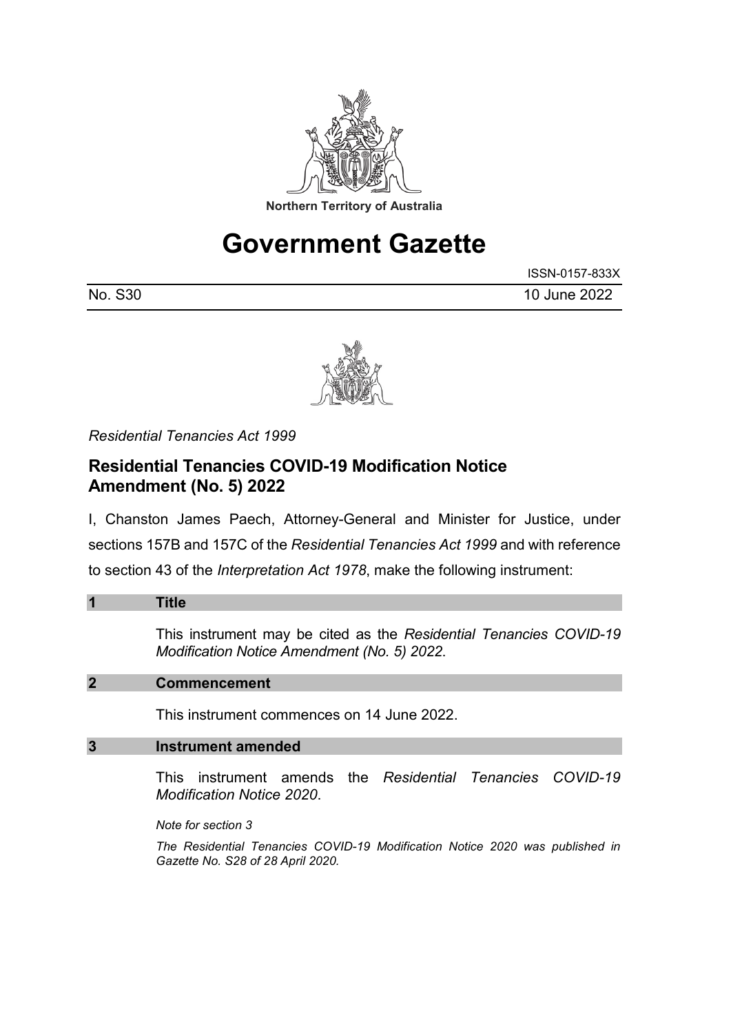

# **Government Gazette**

|         | ISSN-0157-833X |
|---------|----------------|
| No. S30 | 10 June 2022   |



*Residential Tenancies Act 1999*

## **Residential Tenancies COVID-19 Modification Notice Amendment (No. 5) 2022**

I, Chanston James Paech, Attorney-General and Minister for Justice, under sections 157B and 157C of the *Residential Tenancies Act 1999* and with reference to section 43 of the *Interpretation Act 1978*, make the following instrument:

| $\overline{\mathbf{1}}$ | Title                                                                                                             |
|-------------------------|-------------------------------------------------------------------------------------------------------------------|
|                         | This instrument may be cited as the Residential Tenancies COVID-19<br>Modification Notice Amendment (No. 5) 2022. |
| $\overline{2}$          | <b>Commencement</b>                                                                                               |
|                         | This instrument commences on 14 June 2022.                                                                        |
| 3                       | Instrument amended                                                                                                |
|                         | This instrument amends the <i>Residential Tenancies COVID-19</i><br>Modification Notice 2020.                     |
|                         | Note for section 3                                                                                                |
|                         | The Residential Tenancies COVID-19 Modification Notice 2020 was published in<br>Gazette No. S28 of 28 April 2020. |
|                         |                                                                                                                   |
|                         |                                                                                                                   |